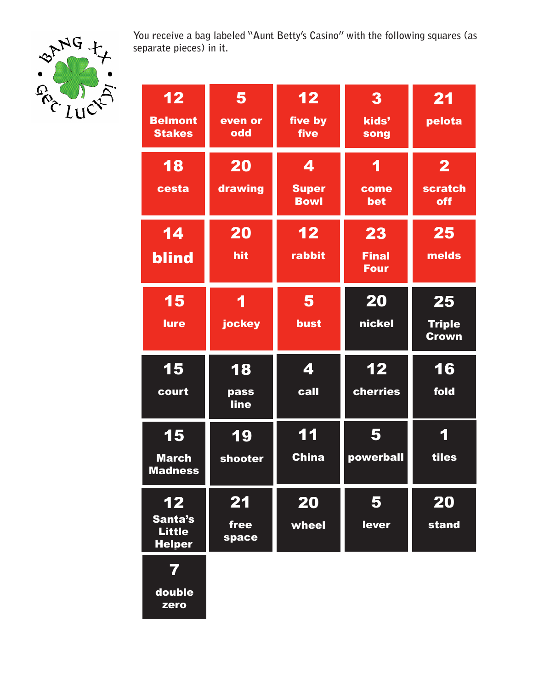

**You receive a bag labeled "Aunt Betty's Casino" with the following squares (as separate pieces) in it.**

| 12<br><b>Belmont</b><br><b>Stakes</b>                 | 5<br>even or<br>odd | $1\overline{2}$<br>five by<br>five | 3<br>kids'<br>song                | 21<br>pelota                        |
|-------------------------------------------------------|---------------------|------------------------------------|-----------------------------------|-------------------------------------|
| <b>18</b><br>cesta                                    | 20<br>drawing       | 4<br><b>Super</b><br><b>Bowl</b>   | 1<br>come<br>bet                  | $\mathbf{2}$<br>scratch<br>off      |
| 14<br><b>blind</b>                                    | 20<br>hit           | 12<br>rabbit                       | 23<br><b>Final</b><br><b>Four</b> | 25<br>melds                         |
| 15<br>lure                                            | 1<br>jockey         | 5<br>bust                          | 20<br>nickel                      | 25<br><b>Triple</b><br><b>Crown</b> |
| 15<br>court                                           | 18<br>pass          | 4<br>call                          | 12<br>cherries                    | 16<br>fold                          |
|                                                       | line                |                                    |                                   |                                     |
| 15<br><b>March</b><br><u>Madness</u>                  | 19<br>shooter       | 11<br><b>China</b>                 | 5<br>powerball                    | 1<br>tiles                          |
| $\bf 12$<br>Santa's<br><b>Little</b><br><b>Helper</b> | 21<br>free<br>space | 20<br>wheel                        | 5<br>lever                        | 20<br>stand                         |